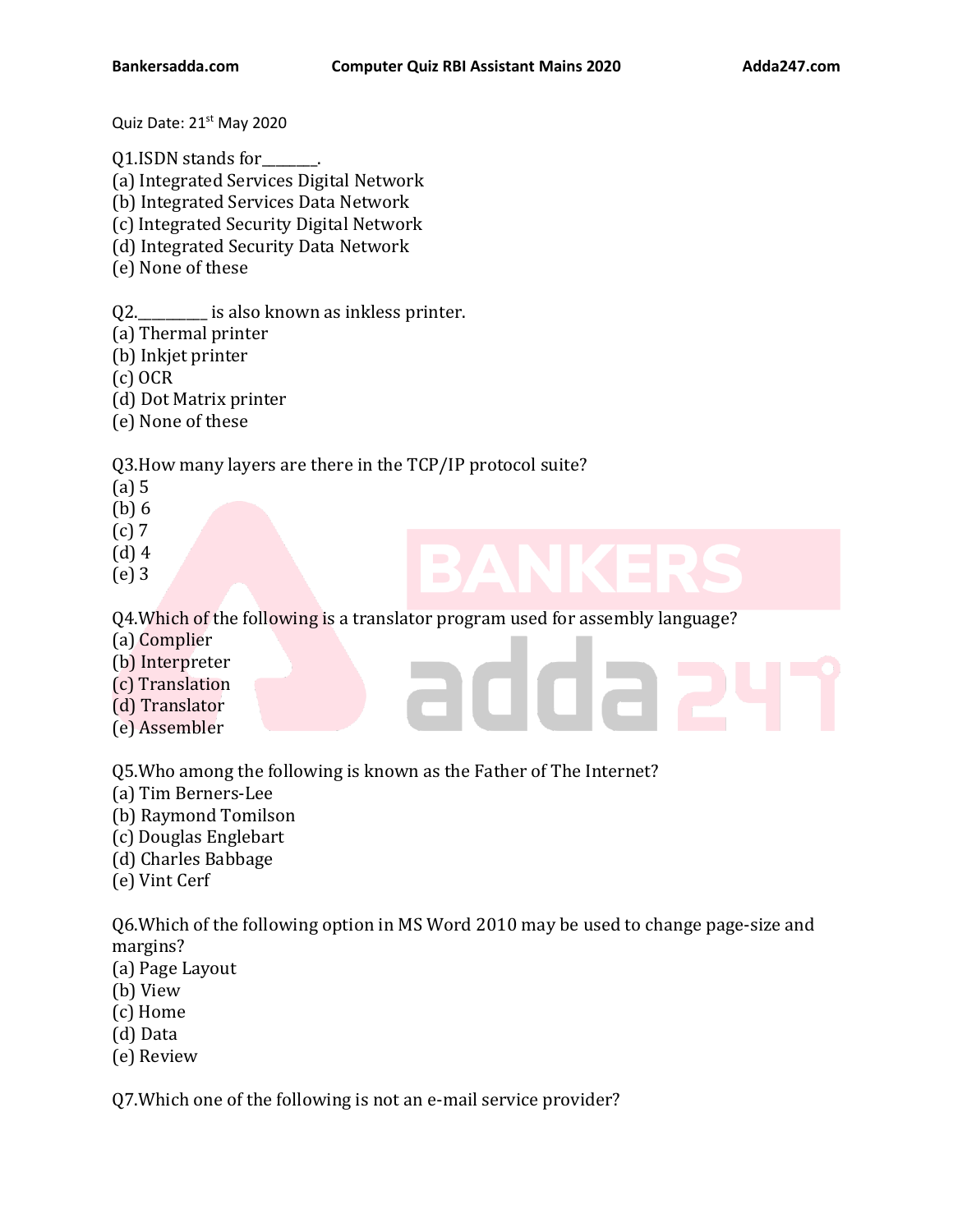Quiz Date: 21<sup>st</sup> May 2020

Q1.ISDN stands for\_\_\_\_\_\_\_\_.

(a) Integrated Services Digital Network

(b) Integrated Services Data Network

(c) Integrated Security Digital Network

(d) Integrated Security Data Network

(e) None of these

Q2.\_\_\_\_\_\_\_\_\_\_ is also known as inkless printer.

(a) Thermal printer

(b) Inkjet printer

(c) OCR

(d) Dot Matrix printer

(e) None of these

Q3.How many layers are there in the TCP/IP protocol suite?

(a) 5

(b) 6

- (c) 7
- (d) 4
- (e) 3

Q4.Which of the following is a translator program used for assembly language?

- (a) Complier
- (b) Interpreter
- (c) Translation
- (d) Translator
- (e) Assembler

Q5.Who among the following is known as the Father of The Internet?

- (a) Tim Berners-Lee
- (b) Raymond Tomilson
- (c) Douglas Englebart
- (d) Charles Babbage
- (e) Vint Cerf

Q6.Which of the following option in MS Word 2010 may be used to change page-size and margins?

- (a) Page Layout
- (b) View
- (c) Home
- (d) Data
- (e) Review

Q7.Which one of the following is not an e-mail service provider?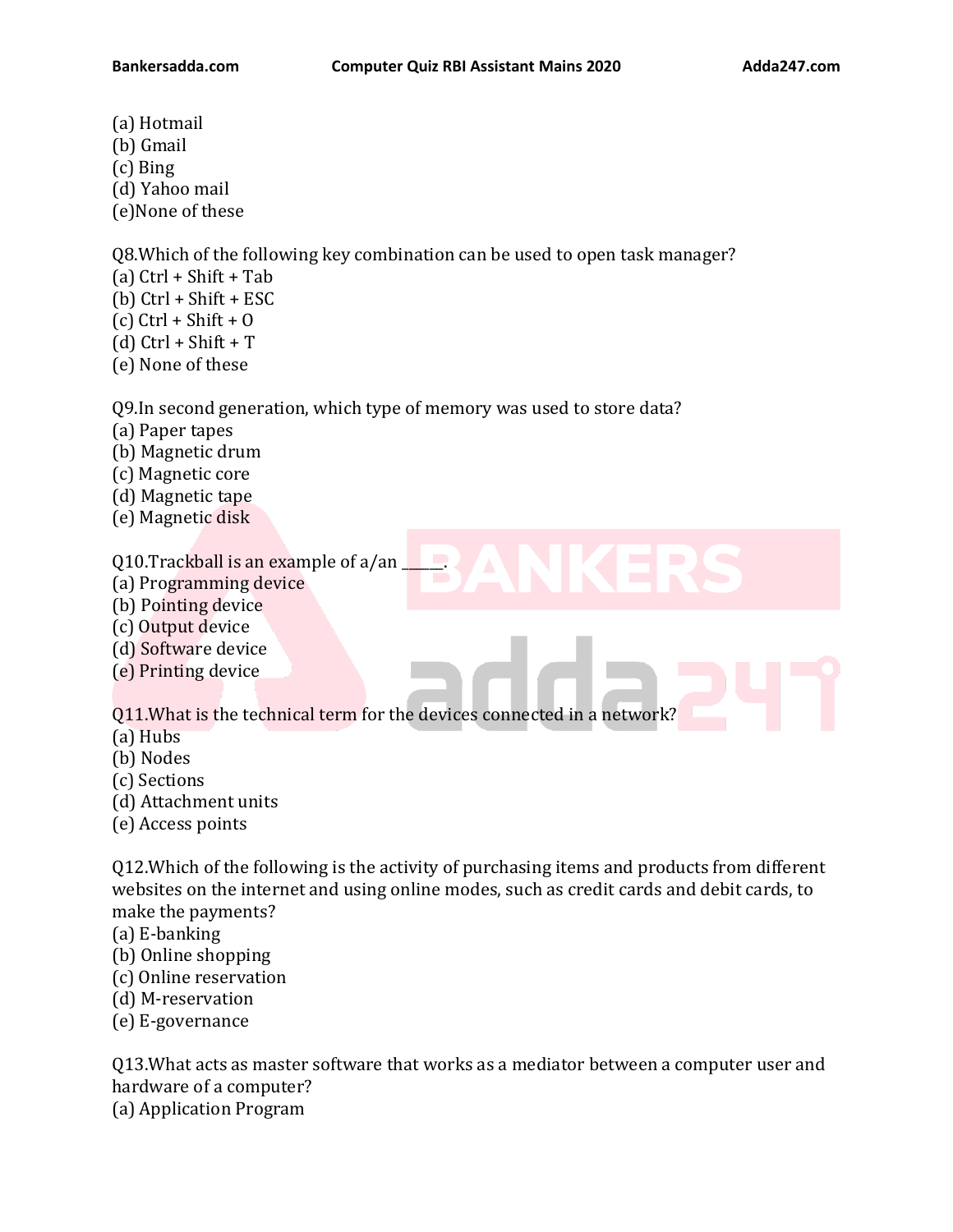- (a) Hotmail
- (b) Gmail
- (c) Bing
- (d) Yahoo mail
- (e)None of these

Q8.Which of the following key combination can be used to open task manager?

- (a)  $Ctrl + Shift + Tab$
- (b) Ctrl + Shift + ESC
- $(c)$  Ctrl + Shift + O
- (d)  $Ctrl + Shift + T$
- (e) None of these

Q9.In second generation, which type of memory was used to store data?

- (a) Paper tapes
- (b) Magnetic drum
- (c) Magnetic core
- (d) Magnetic tape
- (e) Magnetic disk

Q10.Trackball is an example of a/an \_\_\_\_\_\_.

- (a) Programming device
- (b) Pointing device
- (c) Output device
- (d) Software device
- (e) Printing device

Q11.What is the technical term for the devices connected in a network?

- (a) Hubs
- (b) Nodes
- (c) Sections
- (d) Attachment units
- (e) Access points

Q12.Which of the following is the activity of purchasing items and products from different websites on the internet and using online modes, such as credit cards and debit cards, to make the payments?

- (a) E-banking
- (b) Online shopping
- (c) Online reservation
- (d) M-reservation
- (e) E-governance

Q13.What acts as master software that works as a mediator between a computer user and hardware of a computer? (a) Application Program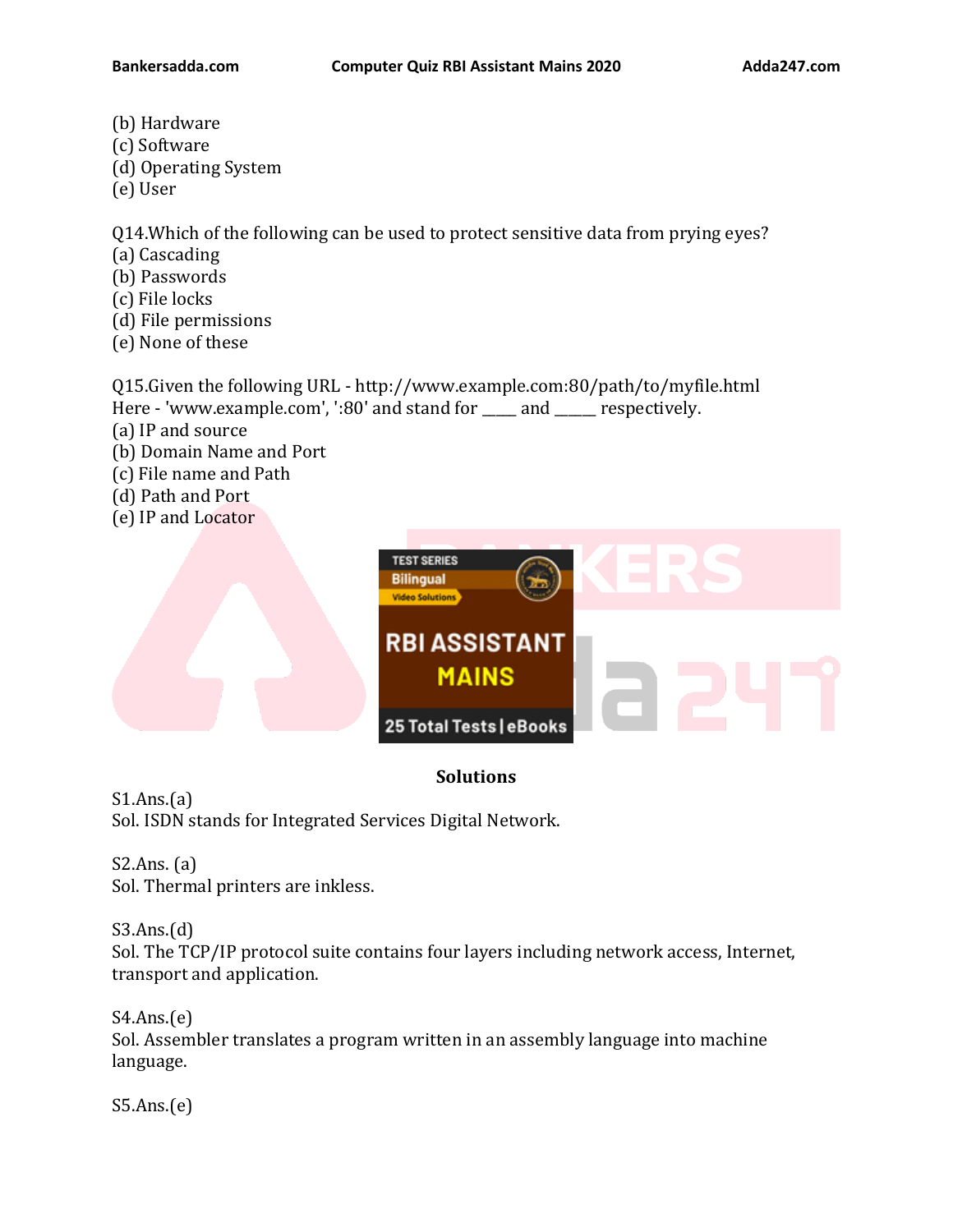- (b) Hardware (c) Software (d) Operating System
- (e) User

Q14.Which of the following can be used to protect sensitive data from prying eyes?

- (a) Cascading
- (b) Passwords
- (c) File locks
- (d) File permissions
- (e) None of these

Q15.Given the following URL - http://www.example.com:80/path/to/myfile.html Here - 'www.example.com', ':80' and stand for \_\_\_\_\_ and \_\_\_\_\_\_ respectively.

- (a) IP and source
- (b) Domain Name and Port
- (c) File name and Path
- (d) Path and Port
- (e) IP and Locator



## **Solutions**

 $S1.Ans.(a)$ Sol. ISDN stands for Integrated Services Digital Network.

S2.Ans. (a) Sol. Thermal printers are inkless.

## S3.Ans.(d)

Sol. The TCP/IP protocol suite contains four layers including network access, Internet, transport and application.

S4.Ans.(e) Sol. Assembler translates a program written in an assembly language into machine language.

S5.Ans.(e)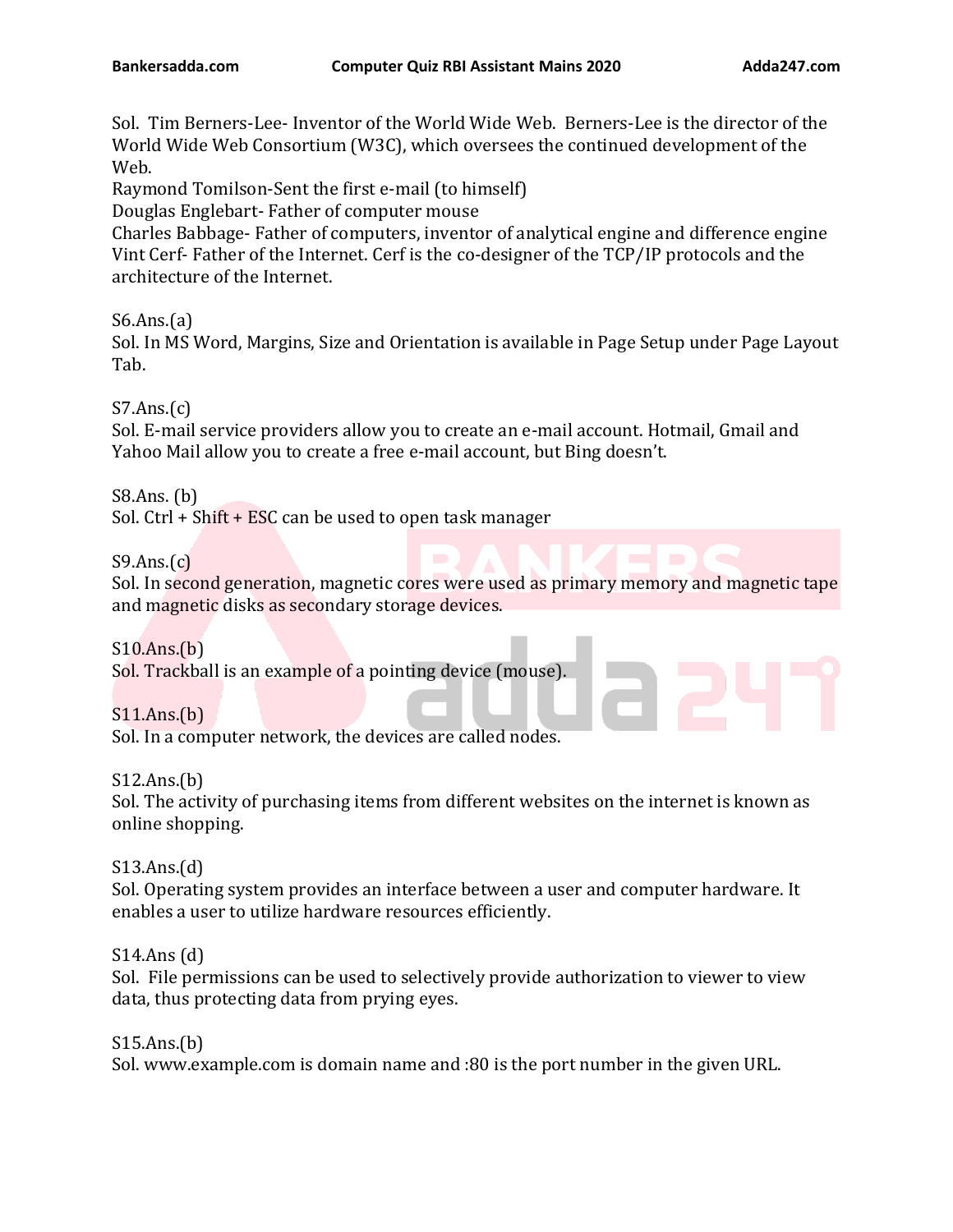Sol. Tim Berners-Lee- Inventor of the World Wide Web. Berners-Lee is the director of the World Wide Web Consortium (W3C), which oversees the continued development of the Web.

Raymond Tomilson-Sent the first e-mail (to himself)

Douglas Englebart- Father of computer mouse

Charles Babbage- Father of computers, inventor of analytical engine and difference engine Vint Cerf- Father of the Internet. Cerf is the co-designer of the TCP/IP protocols and the architecture of the Internet.

S6.Ans.(a)

Sol. In MS Word, Margins, Size and Orientation is available in Page Setup under Page Layout Tab.

 $S7.Ans.(c)$ 

Sol. E-mail service providers allow you to create an e-mail account. Hotmail, Gmail and Yahoo Mail allow you to create a free e-mail account, but Bing doesn't.

S8.Ans. (b)

Sol. Ctrl + Shift + ESC can be used to open task manager

 $S9.Ans.(c)$ 

Sol. In second generation, magnetic cores were used as primary memory and magnetic tape and magnetic disks as secondary storage devices.

S10.Ans.(b) Sol. Trackball is an example of a pointing device (mouse).

S11.Ans.(b) Sol. In a computer network, the devices are called nodes.

S12.Ans.(b)

Sol. The activity of purchasing items from different websites on the internet is known as online shopping.

S13.Ans.(d) Sol. Operating system provides an interface between a user and computer hardware. It enables a user to utilize hardware resources efficiently.

S14.Ans (d) Sol. File permissions can be used to selectively provide authorization to viewer to view data, thus protecting data from prying eyes.

S15.Ans.(b) Sol. www.example.com is domain name and :80 is the port number in the given URL.